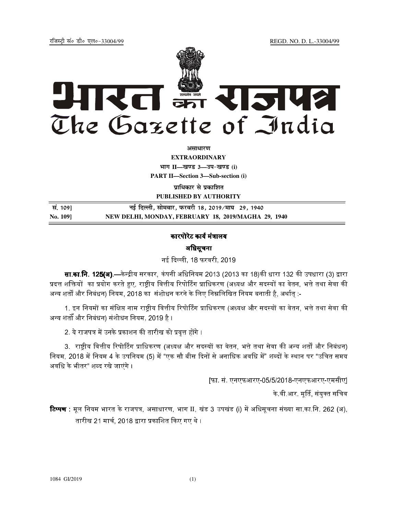REGD. NO. D. L.-33004/99

रजिस्टी सं० डी० एल०-33004/99



अमाधारण

**EXTRAORDINARY** भाग II-खण्ड 3-उप-खण्ड (i) **PART II-Section 3-Sub-section (i)** 

प्राधिकार से प्रकाशित

PUBLISHED BY AUTHORITY

| सं. 109] | नई दिल्ली, सोमवार, फरवरी 18, 2019⁄माघ  29, 1940     |
|----------|-----------------------------------------------------|
| No. 1091 | NEW DELHI, MONDAY, FEBRUARY 18, 2019/MAGHA 29, 1940 |

## कारपोरेट कार्य मंत्रालय

अधिसूचना

नई दिल्ली, 18 फरवरी, 2019

**सा.का.नि. 125(अ).—**केन्द्रीय सरकार, कंपनी अधिनियम 2013 (2013 का 18)की धारा 132 की उपधारा (3) द्वारा प्रदत्त शक्तियों का प्रयोग करते हुए, राष्टीय वित्तीय रिपोर्टिंग प्राधिकरण (अध्यक्ष और सदस्यों का वेतन, भत्ते तथा सेवा की अन्य शर्तों और निबंधन) नियम, 2018 का संशोधन करने के लिए निम्नलिखित नियम बनाती है, अर्थात :-

1. इन नियमों का संक्षिप्त नाम राष्ट्रीय वित्तीय रिपोर्टिंग प्राधिकरण (अध्यक्ष और सदस्यों का वेतन, भत्ते तथा सेवा की अन्य शर्तों और निबंधन) संशोधन नियम, 2019 है ।

2. ये राजपत्र में उनके प्रकाशन की तारीख को प्रवृत्त होंगे ।

3. राष्ट्रीय वित्तीय रिपोर्टिंग प्राधिकरण (अध्यक्ष और सदस्यों का वेतन, भत्ते तथा सेवा की अन्य शर्तों और निबंधन) नियम, 2018 में नियम 4 के उपनियम (5) में "एक सौ बीस दिनों से अनाधिक अवधि में" शब्दों के स्थान पर "उचित समय अवधि के भीतर" शब्द रखे जाएंगे ।

[फा. सं. एनएफआरए-05/5/2018-एनएफआरए-एमसीए]

के वी आर. मूर्ति, संयुक्त सचिव

रिप्पण : मूल नियम भारत के राजपत्र, असाधारण, भाग II, खंड 3 उपखंड (i) में अधिसूचना संख्या सा.का.नि. 262 (अ), तारीख 21 मार्च, 2018 द्वारा प्रकाशित किए गए थे ।